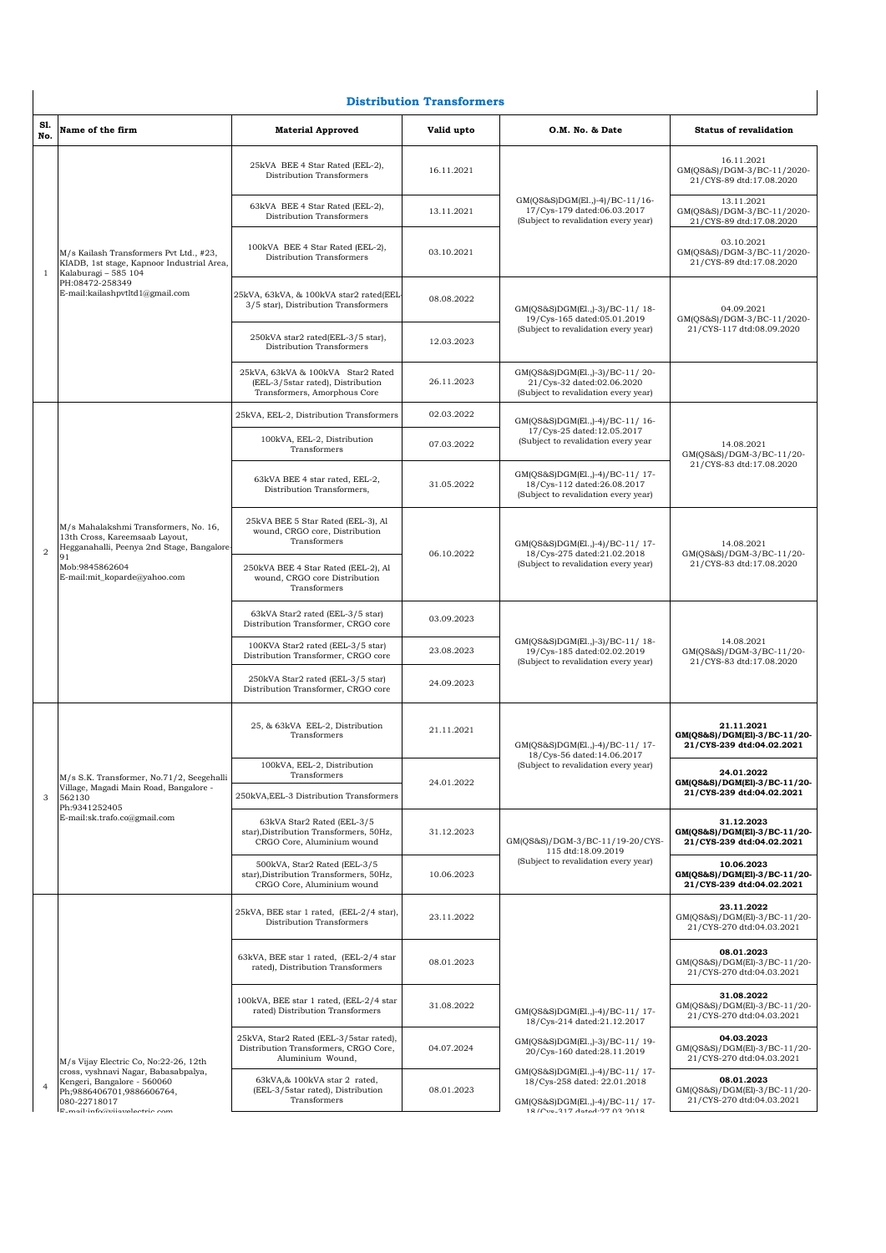## **Distribution Transformers**

|                | <b>Distribution Transformers</b>                                                                                                                                    |                                                                                                        |            |                                                                                                                                                                                                                                                                                                                                                                                                                                                                                                                                                                                                                                                                                                                                                                                                                                                                                                                                                                                                                                                                  |                                                                         |  |  |
|----------------|---------------------------------------------------------------------------------------------------------------------------------------------------------------------|--------------------------------------------------------------------------------------------------------|------------|------------------------------------------------------------------------------------------------------------------------------------------------------------------------------------------------------------------------------------------------------------------------------------------------------------------------------------------------------------------------------------------------------------------------------------------------------------------------------------------------------------------------------------------------------------------------------------------------------------------------------------------------------------------------------------------------------------------------------------------------------------------------------------------------------------------------------------------------------------------------------------------------------------------------------------------------------------------------------------------------------------------------------------------------------------------|-------------------------------------------------------------------------|--|--|
| Sl.<br>No.     | Name of the firm                                                                                                                                                    | <b>Material Approved</b>                                                                               | Valid upto | O.M. No. & Date                                                                                                                                                                                                                                                                                                                                                                                                                                                                                                                                                                                                                                                                                                                                                                                                                                                                                                                                                                                                                                                  | <b>Status of revalidation</b>                                           |  |  |
|                |                                                                                                                                                                     | 25kVA BEE 4 Star Rated (EEL-2),<br>Distribution Transformers                                           | 16.11.2021 |                                                                                                                                                                                                                                                                                                                                                                                                                                                                                                                                                                                                                                                                                                                                                                                                                                                                                                                                                                                                                                                                  | 16.11.2021<br>GM(QS&S)/DGM-3/BC-11/2020-<br>21/CYS-89 dtd:17.08.2020    |  |  |
|                |                                                                                                                                                                     | 63kVA BEE 4 Star Rated (EEL-2),<br>Distribution Transformers                                           | 13.11.2021 | GM(QS&S)DGM(El.,)-4)/BC-11/16-<br>17/Cys-179 dated:06.03.2017<br>(Subject to revalidation every year)                                                                                                                                                                                                                                                                                                                                                                                                                                                                                                                                                                                                                                                                                                                                                                                                                                                                                                                                                            | 13.11.2021<br>GM(QS&S)/DGM-3/BC-11/2020-<br>21/CYS-89 dtd:17.08.2020    |  |  |
| 1              | M/s Kailash Transformers Pvt Ltd., #23,<br>KIADB, 1st stage, Kapnoor Industrial Area,<br>Kalaburagi - 585 104<br>PH:08472-258349<br>E-mail:kailashpvtltd1@gmail.com | 100kVA BEE 4 Star Rated (EEL-2),<br>Distribution Transformers                                          | 03.10.2021 |                                                                                                                                                                                                                                                                                                                                                                                                                                                                                                                                                                                                                                                                                                                                                                                                                                                                                                                                                                                                                                                                  | 03.10.2021<br>GM(QS&S)/DGM-3/BC-11/2020-<br>21/CYS-89 dtd:17.08.2020    |  |  |
|                |                                                                                                                                                                     | 25kVA, 63kVA, & 100kVA star2 rated(EEL-<br>3/5 star), Distribution Transformers                        | 08.08.2022 | GM(QS&S)DGM(El.,)-3)/BC-11/18-<br>19/Cys-165 dated:05.01.2019                                                                                                                                                                                                                                                                                                                                                                                                                                                                                                                                                                                                                                                                                                                                                                                                                                                                                                                                                                                                    | 04.09.2021<br>GM(QS&S)/DGM-3/BC-11/2020-                                |  |  |
|                |                                                                                                                                                                     | 250kVA star2 rated(EEL-3/5 star),<br>Distribution Transformers                                         | 12.03.2023 |                                                                                                                                                                                                                                                                                                                                                                                                                                                                                                                                                                                                                                                                                                                                                                                                                                                                                                                                                                                                                                                                  | 21/CYS-117 dtd:08.09.2020                                               |  |  |
|                |                                                                                                                                                                     | 25kVA, 63kVA & 100kVA Star2 Rated<br>(EEL-3/5star rated), Distribution<br>Transformers, Amorphous Core | 26.11.2023 | (Subject to revalidation every year)<br>GM(QS&S)DGM(El.,)-3)/BC-11/20-<br>21/Cys-32 dated:02.06.2020<br>(Subject to revalidation every year)<br>GM(QS&S)DGM(El.,)-4)/BC-11/16-<br>17/Cys-25 dated:12.05.2017<br>(Subject to revalidation every year<br>GM(QS&S)DGM(El.,)-4)/BC-11/17-<br>18/Cys-112 dated:26.08.2017<br>(Subject to revalidation every year)<br>GM(QS&S)DGM(El.,)-4)/BC-11/17-<br>18/Cys-275 dated:21.02.2018<br>(Subject to revalidation every year)<br>GM(QS&S)DGM(El.,)-3)/BC-11/18-<br>19/Cys-185 dated:02.02.2019<br>(Subject to revalidation every year)<br>GM(QS&S)DGM(El.,)-4)/BC-11/ 17-<br>18/Cys-56 dated:14.06.2017<br>(Subject to revalidation every year)<br>GM(QS&S)/DGM-3/BC-11/19-20/CYS-<br>115 dtd:18.09.2019<br>(Subject to revalidation every year)<br>GM(QS&S)DGM(El.,)-4)/BC-11/ 17-<br>18/Cys-214 dated:21.12.2017<br>GM(QS&S)DGM(El.,)-3)/BC-11/19-<br>20/Cys-160 dated:28.11.2019<br>GM(QS&S)DGM(El.,)-4)/BC-11/17-<br>18/Cys-258 dated: 22.01.2018<br>GM(QS&S)DGM(El.,)-4)/BC-11/ 17-<br>18/Ctrn 217 Antad-07 03:0018 |                                                                         |  |  |
|                |                                                                                                                                                                     | 25kVA, EEL-2, Distribution Transformers                                                                | 02.03.2022 |                                                                                                                                                                                                                                                                                                                                                                                                                                                                                                                                                                                                                                                                                                                                                                                                                                                                                                                                                                                                                                                                  |                                                                         |  |  |
|                |                                                                                                                                                                     | 100kVA, EEL-2, Distribution<br>Transformers                                                            | 07.03.2022 |                                                                                                                                                                                                                                                                                                                                                                                                                                                                                                                                                                                                                                                                                                                                                                                                                                                                                                                                                                                                                                                                  | 14.08.2021<br>GM(QS&S)/DGM-3/BC-11/20-                                  |  |  |
|                |                                                                                                                                                                     | 63kVA BEE 4 star rated, EEL-2,<br>Distribution Transformers,                                           | 31.05.2022 |                                                                                                                                                                                                                                                                                                                                                                                                                                                                                                                                                                                                                                                                                                                                                                                                                                                                                                                                                                                                                                                                  | 21/CYS-83 dtd:17.08.2020                                                |  |  |
| $\overline{2}$ | M/s Mahalakshmi Transformers, No. 16,<br>13th Cross, Kareemsaab Layout,<br>Hegganahalli, Peenya 2nd Stage, Bangalore<br>91                                          | 25kVA BEE 5 Star Rated (EEL-3), Al<br>wound, CRGO core, Distribution<br>Transformers                   | 06.10.2022 |                                                                                                                                                                                                                                                                                                                                                                                                                                                                                                                                                                                                                                                                                                                                                                                                                                                                                                                                                                                                                                                                  | 14.08.2021<br>GM(QS&S)/DGM-3/BC-11/20-                                  |  |  |
|                | Mob:9845862604<br>E-mail:mit_koparde@yahoo.com                                                                                                                      | 250kVA BEE 4 Star Rated (EEL-2), Al<br>wound, CRGO core Distribution<br>Transformers                   |            |                                                                                                                                                                                                                                                                                                                                                                                                                                                                                                                                                                                                                                                                                                                                                                                                                                                                                                                                                                                                                                                                  | 21/CYS-83 dtd:17.08.2020                                                |  |  |
|                |                                                                                                                                                                     | 63kVA Star2 rated (EEL-3/5 star)<br>Distribution Transformer, CRGO core                                | 03.09.2023 |                                                                                                                                                                                                                                                                                                                                                                                                                                                                                                                                                                                                                                                                                                                                                                                                                                                                                                                                                                                                                                                                  |                                                                         |  |  |
|                |                                                                                                                                                                     | 100KVA Star2 rated (EEL-3/5 star)<br>Distribution Transformer, CRGO core                               | 23.08.2023 |                                                                                                                                                                                                                                                                                                                                                                                                                                                                                                                                                                                                                                                                                                                                                                                                                                                                                                                                                                                                                                                                  | 14.08.2021<br>GM(QS&S)/DGM-3/BC-11/20-<br>21/CYS-83 dtd:17.08.2020      |  |  |
|                |                                                                                                                                                                     | 250kVA Star2 rated (EEL-3/5 star)<br>Distribution Transformer, CRGO core                               | 24.09.2023 |                                                                                                                                                                                                                                                                                                                                                                                                                                                                                                                                                                                                                                                                                                                                                                                                                                                                                                                                                                                                                                                                  |                                                                         |  |  |
|                |                                                                                                                                                                     | 25, & 63kVA EEL-2, Distribution<br>Transformers                                                        | 21.11.2021 |                                                                                                                                                                                                                                                                                                                                                                                                                                                                                                                                                                                                                                                                                                                                                                                                                                                                                                                                                                                                                                                                  | 21.11.2021<br>GM(QS&S)/DGM(El)-3/BC-11/20-<br>21/CYS-239 dtd:04.02.2021 |  |  |
|                | M/s S.K. Transformer, No.71/2, Seegehalli                                                                                                                           | 100kVA, EEL-2, Distribution<br>Transformers                                                            |            |                                                                                                                                                                                                                                                                                                                                                                                                                                                                                                                                                                                                                                                                                                                                                                                                                                                                                                                                                                                                                                                                  | 24.01.2022                                                              |  |  |
| 3              | Village, Magadi Main Road, Bangalore -<br>562130<br>Ph:9341252405                                                                                                   | 250kVA, EEL-3 Distribution Transformers                                                                | 24.01.2022 |                                                                                                                                                                                                                                                                                                                                                                                                                                                                                                                                                                                                                                                                                                                                                                                                                                                                                                                                                                                                                                                                  | GM(QS&S)/DGM(El)-3/BC-11/20-<br>21/CYS-239 dtd:04.02.2021               |  |  |
|                | E-mail:sk.trafo.co@gmail.com                                                                                                                                        | 63kVA Star2 Rated (EEL-3/5<br>star), Distribution Transformers, 50Hz,<br>CRGO Core, Aluminium wound    | 31.12.2023 |                                                                                                                                                                                                                                                                                                                                                                                                                                                                                                                                                                                                                                                                                                                                                                                                                                                                                                                                                                                                                                                                  | 31.12.2023<br>GM(QS&S)/DGM(El)-3/BC-11/20-<br>21/CYS-239 dtd:04.02.2021 |  |  |
|                |                                                                                                                                                                     | 500kVA, Star2 Rated (EEL-3/5<br>star), Distribution Transformers, 50Hz,<br>CRGO Core, Aluminium wound  | 10.06.2023 |                                                                                                                                                                                                                                                                                                                                                                                                                                                                                                                                                                                                                                                                                                                                                                                                                                                                                                                                                                                                                                                                  | 10.06.2023<br>GM(QS&S)/DGM(El)-3/BC-11/20-<br>21/CYS-239 dtd:04.02.2021 |  |  |
|                |                                                                                                                                                                     | 25kVA, BEE star 1 rated, (EEL-2/4 star),<br>Distribution Transformers                                  | 23.11.2022 |                                                                                                                                                                                                                                                                                                                                                                                                                                                                                                                                                                                                                                                                                                                                                                                                                                                                                                                                                                                                                                                                  | 23.11.2022<br>GM(QS&S)/DGM(El)-3/BC-11/20-<br>21/CYS-270 dtd:04.03.2021 |  |  |
|                |                                                                                                                                                                     | 63kVA, BEE star 1 rated, (EEL-2/4 star<br>rated), Distribution Transformers                            | 08.01.2023 |                                                                                                                                                                                                                                                                                                                                                                                                                                                                                                                                                                                                                                                                                                                                                                                                                                                                                                                                                                                                                                                                  | 08.01.2023<br>GM(QS&S)/DGM(El)-3/BC-11/20-<br>21/CYS-270 dtd:04.03.2021 |  |  |
|                |                                                                                                                                                                     | 100kVA, BEE star 1 rated, (EEL-2/4 star<br>rated) Distribution Transformers                            | 31.08.2022 |                                                                                                                                                                                                                                                                                                                                                                                                                                                                                                                                                                                                                                                                                                                                                                                                                                                                                                                                                                                                                                                                  | 31.08.2022<br>GM(QS&S)/DGM(El)-3/BC-11/20-<br>21/CYS-270 dtd:04.03.2021 |  |  |
|                | M/s Vijay Electric Co, No:22-26, 12th                                                                                                                               | 25kVA, Star2 Rated (EEL-3/5star rated),<br>Distribution Transformers, CRGO Core,<br>Aluminium Wound,   | 04.07.2024 |                                                                                                                                                                                                                                                                                                                                                                                                                                                                                                                                                                                                                                                                                                                                                                                                                                                                                                                                                                                                                                                                  | 04.03.2023<br>GM(QS&S)/DGM(El)-3/BC-11/20-<br>21/CYS-270 dtd:04.03.2021 |  |  |
| $\overline{4}$ | cross, vyshnavi Nagar, Babasabpalya,<br>Kengeri, Bangalore - 560060<br>Ph;9886406701,9886606764,<br>080-22718017<br>$F$ moil:info@miomalactric.com                  | 63kVA,& 100kVA star 2 rated,<br>(EEL-3/5star rated), Distribution<br>Transformers                      | 08.01.2023 |                                                                                                                                                                                                                                                                                                                                                                                                                                                                                                                                                                                                                                                                                                                                                                                                                                                                                                                                                                                                                                                                  | 08.01.2023<br>GM(QS&S)/DGM(El)-3/BC-11/20-<br>21/CYS-270 dtd:04.03.2021 |  |  |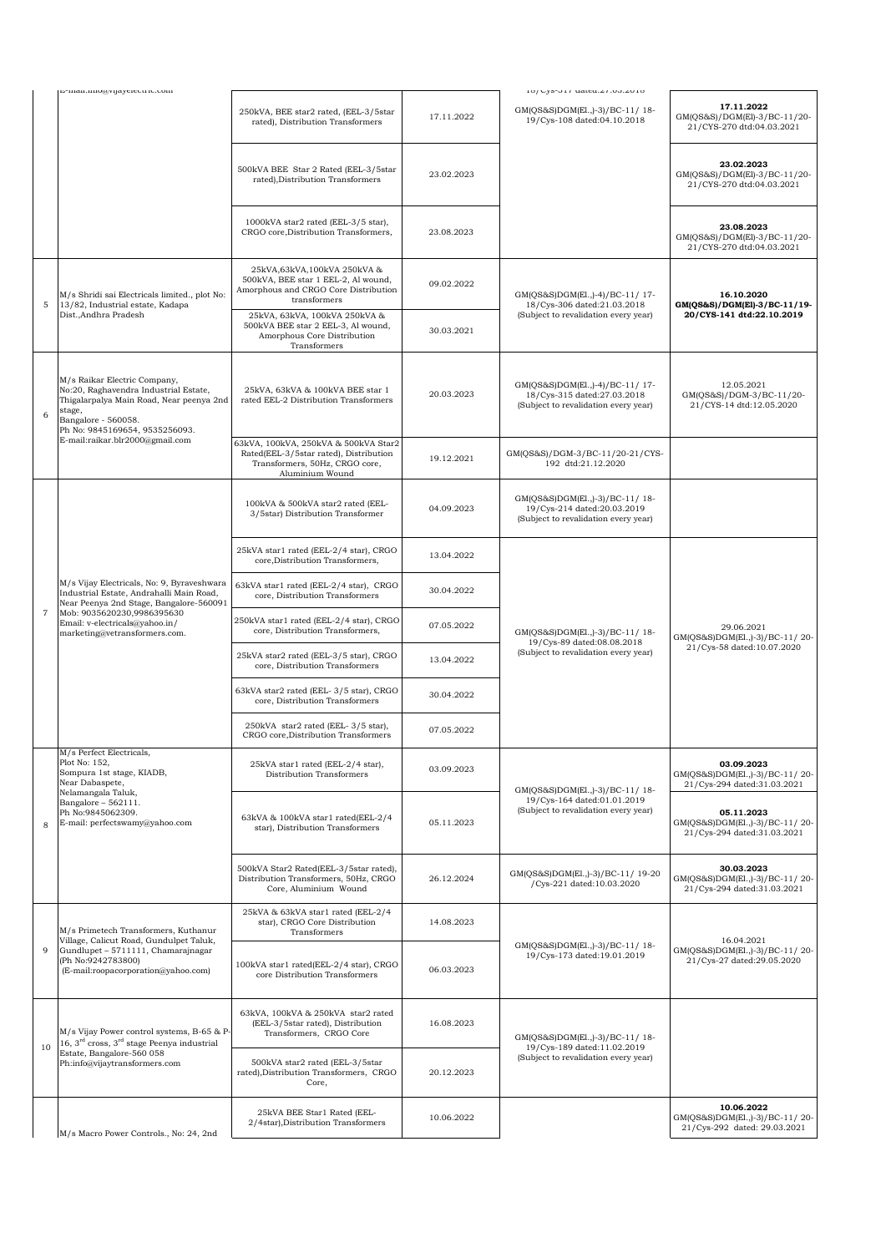|                | E-man.mo@vijayciccu.ic.com                                                                                                                                                                                                         |                                                                                                                                     |            | 10/03-01/ ualtu.4/.00.4010                                                                            |                                                                                                                                                                                                                             |
|----------------|------------------------------------------------------------------------------------------------------------------------------------------------------------------------------------------------------------------------------------|-------------------------------------------------------------------------------------------------------------------------------------|------------|-------------------------------------------------------------------------------------------------------|-----------------------------------------------------------------------------------------------------------------------------------------------------------------------------------------------------------------------------|
|                |                                                                                                                                                                                                                                    | 250kVA, BEE star2 rated, (EEL-3/5star<br>rated), Distribution Transformers                                                          | 17.11.2022 | GM(QS&S)DGM(El.,)-3)/BC-11/18-<br>19/Cys-108 dated:04.10.2018                                         | 17.11.2022<br>GM(QS&S)/DGM(El)-3/BC-11/20-<br>21/CYS-270 dtd:04.03.2021                                                                                                                                                     |
|                |                                                                                                                                                                                                                                    | 500kVA BEE Star 2 Rated (EEL-3/5star<br>rated), Distribution Transformers                                                           | 23.02.2023 |                                                                                                       | 23.02.2023<br>GM(QS&S)/DGM(El)-3/BC-11/20-<br>21/CYS-270 dtd:04.03.2021                                                                                                                                                     |
|                |                                                                                                                                                                                                                                    | 1000kVA star2 rated (EEL-3/5 star),<br>CRGO core, Distribution Transformers,                                                        | 23.08.2023 |                                                                                                       | 23.08.2023<br>GM(QS&S)/DGM(El)-3/BC-11/20-<br>21/CYS-270 dtd:04.03.2021                                                                                                                                                     |
| 5              | M/s Shridi sai Electricals limited., plot No:<br>13/82, Industrial estate, Kadapa                                                                                                                                                  | 25kVA,63kVA,100kVA 250kVA &<br>500kVA, BEE star 1 EEL-2, Al wound,<br>Amorphous and CRGO Core Distribution<br>transformers          | 09.02.2022 | GM(QS&S)DGM(El.,)-4)/BC-11/17-<br>18/Cys-306 dated:21.03.2018                                         | 16.10.2020<br>GM(QS&S)/DGM(El)-3/BC-11/19-                                                                                                                                                                                  |
|                | Dist., Andhra Pradesh                                                                                                                                                                                                              | 25kVA, 63kVA, 100kVA 250kVA &<br>500kVA BEE star 2 EEL-3, Al wound,<br>Amorphous Core Distribution<br>Transformers                  | 30.03.2021 | (Subject to revalidation every year)                                                                  | 20/CYS-141 dtd:22.10.2019                                                                                                                                                                                                   |
| 6              | M/s Raikar Electric Company,<br>No:20, Raghavendra Industrial Estate,<br>Thigalarpalya Main Road, Near peenya 2nd<br>stage,<br>Bangalore - 560058.<br>Ph No: 9845169654, 9535256093.                                               | 25kVA, 63kVA & 100kVA BEE star 1<br>rated EEL-2 Distribution Transformers                                                           | 20.03.2023 | GM(QS&S)DGM(El.,)-4)/BC-11/17-<br>18/Cys-315 dated:27.03.2018<br>(Subject to revalidation every year) | 12.05.2021<br>GM(QS&S)/DGM-3/BC-11/20-<br>21/CYS-14 dtd:12.05.2020                                                                                                                                                          |
|                | E-mail:raikar.blr2000@gmail.com                                                                                                                                                                                                    | 63kVA, 100kVA, 250kVA & 500kVA Star2<br>Rated(EEL-3/5star rated), Distribution<br>Transformers, 50Hz, CRGO core,<br>Aluminium Wound | 19.12.2021 | GM(QS&S)/DGM-3/BC-11/20-21/CYS-<br>192 dtd:21.12.2020                                                 | 29.06.2021<br>21/Cys-58 dated:10.07.2020<br>03.09.2023<br>21/Cys-294 dated:31.03.2021<br>05.11.2023<br>21/Cys-294 dated:31.03.2021<br>30.03.2023<br>21/Cys-294 dated:31.03.2021<br>16.04.2021<br>21/Cys-27 dated:29.05.2020 |
|                |                                                                                                                                                                                                                                    | 100kVA & 500kVA star2 rated (EEL-<br>3/5star) Distribution Transformer                                                              | 04.09.2023 | GM(QS&S)DGM(El.,)-3)/BC-11/18-<br>19/Cys-214 dated:20.03.2019<br>(Subject to revalidation every year) | GM(QS&S)DGM(El.,)-3)/BC-11/20-                                                                                                                                                                                              |
|                |                                                                                                                                                                                                                                    | 25kVA star1 rated (EEL-2/4 star), CRGO<br>core, Distribution Transformers,                                                          | 13.04.2022 |                                                                                                       |                                                                                                                                                                                                                             |
|                | M/s Vijay Electricals, No: 9, Byraveshwara<br>Industrial Estate, Andrahalli Main Road,<br>Near Peenya 2nd Stage, Bangalore-560091<br>Mob: 9035620230,9986395630<br>Email: v-electricals@yahoo.in/<br>marketing@vetransformers.com. | 63kVA star1 rated (EEL-2/4 star), CRGO<br>core, Distribution Transformers                                                           | 30.04.2022 | GM(QS&S)DGM(El.,)-3)/BC-11/18-<br>19/Cys-89 dated:08.08.2018<br>(Subject to revalidation every year)  |                                                                                                                                                                                                                             |
| $\overline{7}$ |                                                                                                                                                                                                                                    | 250kVA star1 rated (EEL-2/4 star), CRGO<br>core, Distribution Transformers,                                                         | 07.05.2022 |                                                                                                       |                                                                                                                                                                                                                             |
|                |                                                                                                                                                                                                                                    | 25kVA star2 rated (EEL-3/5 star), CRGO<br>core, Distribution Transformers                                                           | 13.04.2022 |                                                                                                       |                                                                                                                                                                                                                             |
|                |                                                                                                                                                                                                                                    | 63kVA star2 rated (EEL-3/5 star), CRGO<br>core, Distribution Transformers                                                           | 30.04.2022 |                                                                                                       |                                                                                                                                                                                                                             |
|                |                                                                                                                                                                                                                                    | 250kVA star2 rated (EEL-3/5 star),<br>CRGO core, Distribution Transformers                                                          | 07.05.2022 |                                                                                                       |                                                                                                                                                                                                                             |
|                | м/s Periect Electricals,<br>Plot No: 152,<br>Sompura 1st stage, KIADB,<br>Near Dabaspete,<br>Nelamangala Taluk,                                                                                                                    | 25kVA star1 rated (EEL-2/4 star),<br>Distribution Transformers                                                                      | 03.09.2023 | GM(QS&S)DGM(El.,)-3)/BC-11/18-                                                                        | GM(QS&S)DGM(El.,)-3)/BC-11/20-                                                                                                                                                                                              |
| 8              | Bangalore $-562111$ .<br>Ph No:9845062309.<br>E-mail: perfectswamy@yahoo.com                                                                                                                                                       | 63kVA & 100kVA star1 rated(EEL-2/4<br>star), Distribution Transformers                                                              | 05.11.2023 | 19/Cys-164 dated:01.01.2019<br>(Subject to revalidation every year)                                   | GM(QS&S)DGM(El.,)-3)/BC-11/20-                                                                                                                                                                                              |
|                |                                                                                                                                                                                                                                    | 500kVA Star2 Rated(EEL-3/5star rated),<br>Distribution Transformers, 50Hz, CRGO<br>Core, Aluminium Wound                            | 26.12.2024 | GM(QS&S)DGM(El.,)-3)/BC-11/19-20<br>/Cys-221 dated:10.03.2020                                         | GM(QS&S)DGM(El.,)-3)/BC-11/20-                                                                                                                                                                                              |
|                | M/s Primetech Transformers, Kuthanur                                                                                                                                                                                               | 25kVA & 63kVA star1 rated (EEL-2/4<br>star), CRGO Core Distribution<br>Transformers                                                 | 14.08.2023 |                                                                                                       |                                                                                                                                                                                                                             |
| 9              | Village, Calicut Road, Gundulpet Taluk,<br>Gundlupet - 5711111, Chamarajnagar<br>(Ph No:9242783800)<br>(E-mail:roopacorporation@yahoo.com)                                                                                         | 100kVA star1 rated(EEL-2/4 star), CRGO<br>core Distribution Transformers                                                            | 06.03.2023 | GM(QS&S)DGM(El.,)-3)/BC-11/18-<br>19/Cys-173 dated:19.01.2019                                         | GM(QS&S)DGM(El.,)-3)/BC-11/20-                                                                                                                                                                                              |
| 10             | M/s Vijay Power control systems, B-65 & P-<br>16, $3rd$ cross, $3rd$ stage Peenya industrial                                                                                                                                       | 63kVA, 100kVA & 250kVA star2 rated<br>(EEL-3/5star rated), Distribution<br>Transformers, CRGO Core                                  | 16.08.2023 | GM(QS&S)DGM(El.,)-3)/BC-11/18-<br>19/Cys-189 dated:11.02.2019                                         |                                                                                                                                                                                                                             |
|                | Estate, Bangalore-560 058<br>Ph:info@vijaytransformers.com                                                                                                                                                                         | 500kVA star2 rated (EEL-3/5star<br>rated), Distribution Transformers, CRGO<br>Core,                                                 | 20.12.2023 | (Subject to revalidation every year)                                                                  |                                                                                                                                                                                                                             |
|                | M/s Macro Power Controls., No: 24, 2nd                                                                                                                                                                                             | 25kVA BEE Star1 Rated (EEL-<br>2/4star), Distribution Transformers                                                                  | 10.06.2022 |                                                                                                       | 10.06.2022<br>GM(QS&S)DGM(El.,)-3)/BC-11/20-<br>21/Cys-292 dated: 29.03.2021                                                                                                                                                |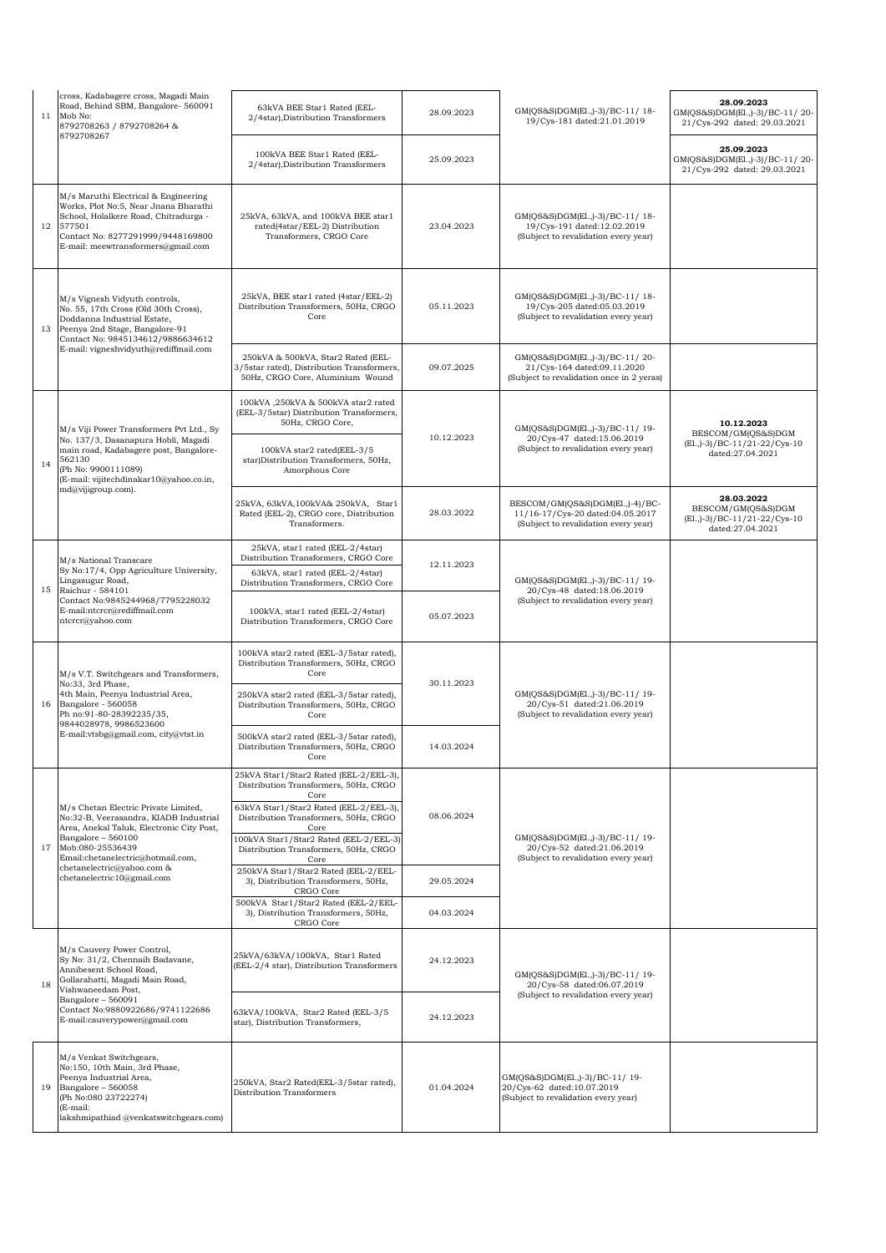| 11 | cross, Kadabagere cross, Magadi Main<br>Road, Behind SBM, Bangalore- 560091<br>Mob No:<br>8792708263 / 8792708264 &<br>8792708267                                                                           | 63kVA BEE Star1 Rated (EEL-<br>2/4star), Distribution Transformers                                                                                   | 28.09.2023                                    | GM(QS&S)DGM(El.,)-3)/BC-11/18-<br>19/Cys-181 dated:21.01.2019                                               | 28.09.2023<br>GM(QS&S)DGM(El.,)-3)/BC-11/20-<br>21/Cys-292 dated: 29.03.2021             |
|----|-------------------------------------------------------------------------------------------------------------------------------------------------------------------------------------------------------------|------------------------------------------------------------------------------------------------------------------------------------------------------|-----------------------------------------------|-------------------------------------------------------------------------------------------------------------|------------------------------------------------------------------------------------------|
|    |                                                                                                                                                                                                             | 100kVA BEE Star1 Rated (EEL-<br>2/4star), Distribution Transformers                                                                                  | 25.09.2023                                    |                                                                                                             | 25.09.2023<br>GM(QS&S)DGM(El.,)-3)/BC-11/20-<br>21/Cys-292 dated: 29.03.2021             |
| 12 | M/s Maruthi Electrical & Engineering<br>Works, Plot No:5, Near Jnana Bharathi<br>School, Holalkere Road, Chitradurga -<br>577501<br>Contact No: 8277291999/9448169800<br>E-mail: meewtransformers@gmail.com | 25kVA, 63kVA, and 100kVA BEE star1<br>rated(4star/EEL-2) Distribution<br>Transformers, CRGO Core                                                     | 23.04.2023                                    | GM(QS&S)DGM(El.,)-3)/BC-11/18-<br>19/Cys-191 dated:12.02.2019<br>(Subject to revalidation every year)       |                                                                                          |
| 13 | M/s Vignesh Vidyuth controls,<br>No. 55, 17th Cross (Old 30th Cross),<br>Doddanna Industrial Estate,<br>Peenya 2nd Stage, Bangalore-91<br>Contact No: 9845134612/9886634612                                 | 25kVA, BEE star1 rated (4star/EEL-2)<br>Distribution Transformers, 50Hz, CRGO<br>Core                                                                | 05.11.2023                                    | GM(QS&S)DGM(El.,)-3)/BC-11/18-<br>19/Cys-205 dated:05.03.2019<br>(Subject to revalidation every year)       |                                                                                          |
|    | E-mail: vigneshvidyuth@rediffmail.com                                                                                                                                                                       | 250kVA & 500kVA, Star2 Rated (EEL-<br>3/5star rated), Distribution Transformers,<br>50Hz, CRGO Core, Aluminium Wound                                 | 09.07.2025                                    | GM(QS&S)DGM(El.,)-3)/BC-11/20-<br>21/Cys-164 dated:09.11.2020<br>(Subject to revalidation once in 2 yeras)  |                                                                                          |
|    | M/s Viji Power Transformers Pvt Ltd., Sy<br>No. 137/3, Dasanapura Hobli, Magadi<br>main road, Kadabagere post, Bangalore-                                                                                   | 100kVA ,250kVA & 500kVA star2 rated<br>(EEL-3/5star) Distribution Transformers,<br>50Hz, CRGO Core,<br>100kVA star2 rated(EEL-3/5                    | 10.12.2023                                    | GM(QS&S)DGM(El.,)-3)/BC-11/ 19-<br>20/Cys-47 dated:15.06.2019<br>(Subject to revalidation every year)       | 10.12.2023<br>BESCOM/GM(QS&S)DGM<br>(El., )-3) / BC-11/21-22/ Cys-10<br>dated:27.04.2021 |
| 14 | 562130<br>(Ph No: 9900111089)<br>(E-mail: vijitechdinakar10@yahoo.co.in,                                                                                                                                    | star)Distribution Transformers, 50Hz,<br>Amorphous Core                                                                                              |                                               |                                                                                                             |                                                                                          |
|    | md@vijigroup.com).                                                                                                                                                                                          | 25kVA, 63kVA, 100kVA& 250kVA, Star1<br>Rated (EEL-2), CRGO core, Distribution<br>Transformers.                                                       | 28.03.2022                                    | BESCOM/GM(QS&S)DGM(El.,)-4)/BC-<br>11/16-17/Cys-20 dated:04.05.2017<br>(Subject to revalidation every year) | 28.03.2022<br>BESCOM/GM(QS&S)DGM<br>(El., )-3) / BC-11/21-22/Cys-10<br>dated:27.04.2021  |
| 15 | M/s National Transcare<br>Sy No:17/4, Opp Agriculture University,<br>Lingasugur Road,<br>Raichur - 584101                                                                                                   | 25kVA, star1 rated (EEL-2/4star)<br>Distribution Transformers, CRGO Core<br>63kVA, star1 rated (EEL-2/4star)<br>Distribution Transformers, CRGO Core | 12.11.2023                                    | GM(QS&S)DGM(El.,)-3)/BC-11/19-<br>20/Cys-48 dated:18.06.2019                                                |                                                                                          |
|    | Contact No:9845244968/7795228032<br>E-mail:ntcrcr@rediffmail.com<br>ntcrcr@yahoo.com                                                                                                                        | 100kVA, star1 rated (EEL-2/4star)<br>Distribution Transformers, CRGO Core                                                                            | 05.07.2023                                    | (Subject to revalidation every year)                                                                        |                                                                                          |
|    | M/s V.T. Switchgears and Transformers,<br>No:33, 3rd Phase,<br>4th Main, Peenya Industrial Area,<br>Bangalore - 560058<br>Ph no:91-80-28392235/35,<br>9844028978, 9986523600                                | 100kVA star2 rated (EEL-3/5star rated),<br>Distribution Transformers, 50Hz, CRGO<br>Core                                                             | 30.11.2023                                    | GM(QS&S)DGM(El.,)-3)/BC-11/19-<br>20/Cys-51 dated:21.06.2019<br>(Subject to revalidation every year)        |                                                                                          |
| 16 |                                                                                                                                                                                                             | 250kVA star2 rated (EEL-3/5star rated),<br>Distribution Transformers, 50Hz, CRGO<br>Core                                                             |                                               |                                                                                                             |                                                                                          |
|    | E-mail:vtsbg@gmail.com, city@vtst.in                                                                                                                                                                        | 500kVA star2 rated (EEL-3/5star rated),<br>Distribution Transformers, 50Hz, CRGO<br>Core                                                             | 14.03.2024                                    |                                                                                                             |                                                                                          |
|    |                                                                                                                                                                                                             | 25kVA Star1/Star2 Rated (EEL-2/EEL-3),<br>Distribution Transformers, 50Hz, CRGO<br>Core<br>63kVA Star1/Star2 Rated (EEL-2/EEL-3),                    |                                               |                                                                                                             |                                                                                          |
|    | M/s Chetan Electric Private Limited,<br>No:32-B, Veerasandra, KIADB Industrial<br>Area, Anekal Taluk, Electronic City Post,<br>Bangalore - 560100                                                           | Distribution Transformers, 50Hz, CRGO<br>Core<br>100kVA Star1/Star2 Rated (EEL-2/EEL-3)                                                              | 08.06.2024<br>GM(QS&S)DGM(El.,)-3)/BC-11/ 19- |                                                                                                             |                                                                                          |
| 17 | Mob:080-25536439<br>Email:chetanelectric@hotmail.com,<br>chetanelectric@yahoo.com &                                                                                                                         | Distribution Transformers, 50Hz, CRGO<br>Core<br>250kVA Star1/Star2 Rated (EEL-2/EEL-                                                                |                                               | 20/Cys-52 dated:21.06.2019<br>(Subject to revalidation every year)                                          |                                                                                          |
|    | chetanelectric10@gmail.com                                                                                                                                                                                  | 3), Distribution Transformers, 50Hz,<br>CRGO Core<br>500kVA Star1/Star2 Rated (EEL-2/EEL-                                                            | 29.05.2024                                    |                                                                                                             |                                                                                          |
|    |                                                                                                                                                                                                             | 3), Distribution Transformers, 50Hz,<br>CRGO Core                                                                                                    | 04.03.2024                                    |                                                                                                             |                                                                                          |
| 18 | M/s Cauvery Power Control,<br>Sy No: 31/2, Chennaih Badavane,<br>Annibesent School Road,<br>Gollarahatti, Magadi Main Road,<br>Vishwaneedam Post,                                                           | 25kVA/63kVA/100kVA, Star1 Rated<br>(EEL-2/4 star), Distribution Transformers                                                                         | 24.12.2023                                    | GM(QS&S)DGM(El.,)-3)/BC-11/19-<br>20/Cys-58 dated:06.07.2019<br>(Subject to revalidation every year)        |                                                                                          |
|    | Bangalore - 560091<br>Contact No:9880922686/9741122686<br>E-mail:cauverypower@gmail.com                                                                                                                     | 63kVA/100kVA, Star2 Rated (EEL-3/5<br>star), Distribution Transformers,                                                                              | 24.12.2023                                    |                                                                                                             |                                                                                          |
| 19 | M/s Venkat Switchgears,<br>No:150, 10th Main, 3rd Phase,<br>Peenya Industrial Area,<br>Bangalore - 560058<br>(Ph No:080 23722274)<br>(E-mail:<br>lakshmipathiad @venkatswitchgears.com)                     | 250kVA, Star2 Rated(EEL-3/5star rated),<br>Distribution Transformers                                                                                 | 01.04.2024                                    | GM(QS&S)DGM(El.,)-3)/BC-11/19-<br>20/Cys-62 dated:10.07.2019<br>(Subject to revalidation every year)        |                                                                                          |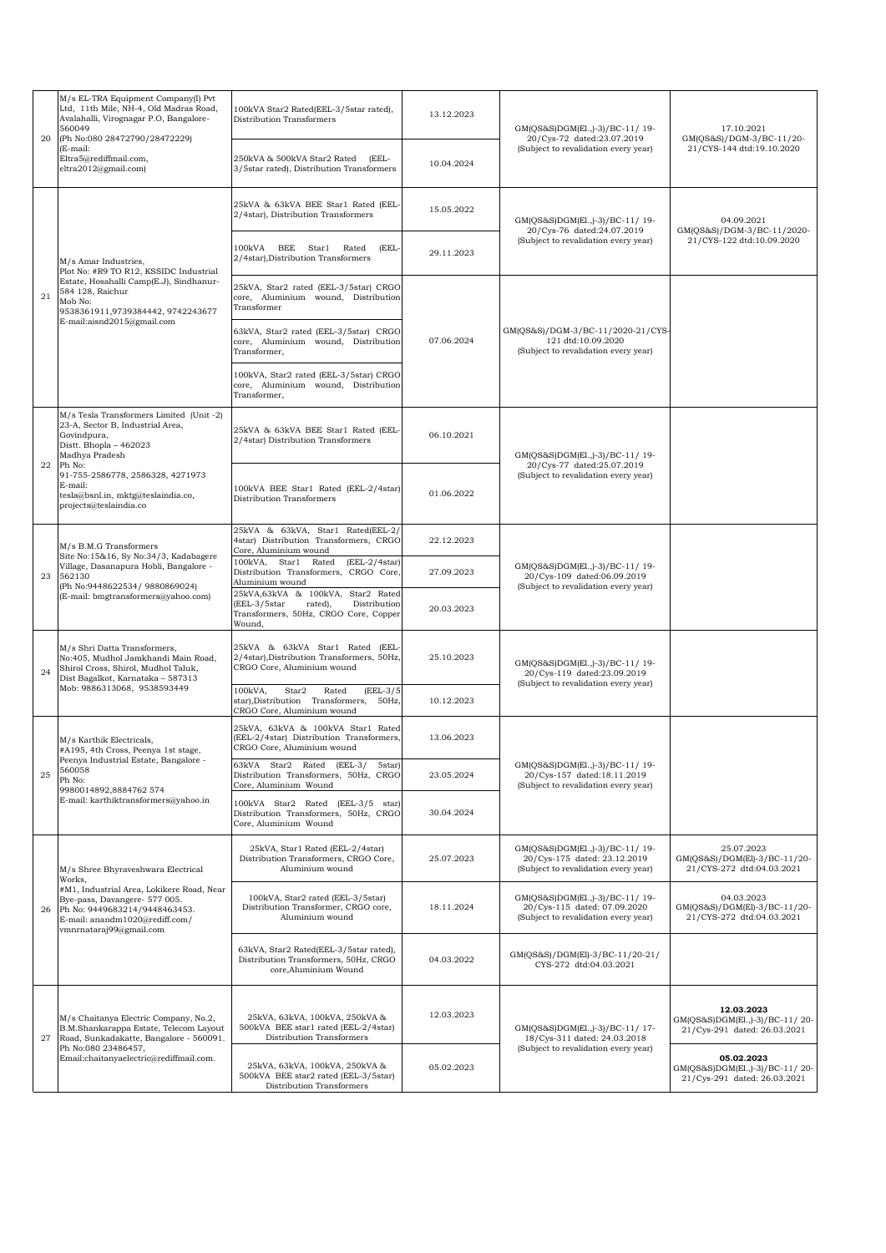| 20 | M/s EL-TRA Equipment Company(I) Pvt<br>Ltd, 11th Mile, NH-4, Old Madras Road,<br>Avalahalli, Virognagar P.O, Bangalore-<br>560049<br>(Ph No:080 28472790/28472229)       | 100kVA Star2 Rated(EEL-3/5star rated),<br>Distribution Transformers                                                             | 13.12.2023 | GM(QS&S)DGM(El.,)-3)/BC-11/ 19-<br>20/Cys-72 dated:23.07.2019                                          | 17.10.2021<br>GM(QS&S)/DGM-3/BC-11/20-                                                                                                                                                                                                                                                                                                           |
|----|--------------------------------------------------------------------------------------------------------------------------------------------------------------------------|---------------------------------------------------------------------------------------------------------------------------------|------------|--------------------------------------------------------------------------------------------------------|--------------------------------------------------------------------------------------------------------------------------------------------------------------------------------------------------------------------------------------------------------------------------------------------------------------------------------------------------|
|    | (E-mail:<br>Eltra5@rediffmail.com,<br>eltra2012@gmail.com)                                                                                                               | 250kVA & 500kVA Star2 Rated (EEL-<br>3/5star rated), Distribution Transformers                                                  | 10.04.2024 | (Subject to revalidation every year)                                                                   | 21/CYS-144 dtd:19.10.2020                                                                                                                                                                                                                                                                                                                        |
|    |                                                                                                                                                                          | 25kVA & 63kVA BEE Star1 Rated (EEL-<br>2/4star), Distribution Transformers                                                      | 15.05.2022 | GM(QS&S)DGM(El.,)-3)/BC-11/19-<br>20/Cys-76 dated:24.07.2019                                           | 04.09.2021                                                                                                                                                                                                                                                                                                                                       |
|    | M/s Amar Industries,<br>Plot No: #R9 TO R12, KSSIDC Industrial                                                                                                           | 100kVA BEE Star1 Rated<br>(EEL-<br>2/4star), Distribution Transformers                                                          | 29.11.2023 | (Subject to revalidation every year)                                                                   | 21/CYS-122 dtd:10.09.2020                                                                                                                                                                                                                                                                                                                        |
| 21 | Estate, Hosahalli Camp(E.J), Sindhanur-<br>584 128, Raichur<br>Mob No:<br>9538361911,9739384442, 9742243677                                                              | 25kVA, Star2 rated (EEL-3/5star) CRGO<br>core, Aluminium wound, Distribution<br>Transformer                                     |            |                                                                                                        |                                                                                                                                                                                                                                                                                                                                                  |
|    | E-mail:aisnd2015@gmail.com                                                                                                                                               | 63kVA, Star2 rated (EEL-3/5star) CRGO<br>core, Aluminium wound, Distribution<br>Transformer,                                    | 07.06.2024 | GM(QS&S)/DGM-3/BC-11/2020-21/CYS-<br>121 dtd:10.09.2020<br>(Subject to revalidation every year)        |                                                                                                                                                                                                                                                                                                                                                  |
|    |                                                                                                                                                                          | 100kVA, Star2 rated (EEL-3/5star) CRGO<br>core, Aluminium wound, Distribution<br>Transformer,                                   |            |                                                                                                        |                                                                                                                                                                                                                                                                                                                                                  |
|    | M/s Tesla Transformers Limited (Unit -2)<br>23-A, Sector B, Industrial Area,<br>Govindpura,<br>Distt. Bhopla - 462023<br>Madhya Pradesh                                  | 25kVA & 63kVA BEE Star1 Rated (EEL-<br>2/4star) Distribution Transformers                                                       | 06.10.2021 | GM(OS&S)DGM(El.,)-3)/BC-11/19-                                                                         |                                                                                                                                                                                                                                                                                                                                                  |
| 22 | Ph No:<br>91-755-2586778, 2586328, 4271973<br>E-mail:<br>tesla@bsnl.in, mktg@teslaindia.co,<br>projects@teslaindia.co                                                    | 100kVA BEE Star1 Rated (EEL-2/4star)<br>Distribution Transformers                                                               | 01.06.2022 | 20/Cys-77 dated:25.07.2019<br>(Subject to revalidation every year)                                     |                                                                                                                                                                                                                                                                                                                                                  |
|    | M/s B.M.G Transformers                                                                                                                                                   | 25kVA & 63kVA, Star1 Rated(EEL-2/<br>4star) Distribution Transformers, CRGO<br>Core, Aluminium wound                            | 22.12.2023 |                                                                                                        |                                                                                                                                                                                                                                                                                                                                                  |
| 23 | Site No:15&16, Sy No:34/3, Kadabagere<br>Village, Dasanapura Hobli, Bangalore -<br>562130<br>(Ph No:9448622534/ 9880869024)                                              | 100kVA, Star1<br>Rated<br>$(EEL-2/4star)$<br>Distribution Transformers, CRGO Core,<br>Aluminium wound                           | 27.09.2023 | GM(QS&S)DGM(El.,)-3)/BC-11/19-<br>20/Cys-109 dated:06.09.2019                                          |                                                                                                                                                                                                                                                                                                                                                  |
|    | (E-mail: bmgtransformers@yahoo.com)                                                                                                                                      | 25kVA,63kVA & 100kVA, Star2 Rated<br>(EEL-3/5star<br>rated),<br>Distribution<br>Transformers, 50Hz, CRGO Core, Copper<br>Wound, | 20.03.2023 | (Subject to revalidation every year)                                                                   |                                                                                                                                                                                                                                                                                                                                                  |
| 24 | M/s Shri Datta Transformers,<br>No:405, Mudhol Jamkhandi Main Road,<br>Shirol Cross, Shirol, Mudhol Taluk,<br>Dist Bagalkot, Karnataka - 587313                          | 25kVA & 63kVA Star1 Rated (EEL-<br>2/4star), Distribution Transformers, 50Hz,<br>CRGO Core. Aluminium wound                     | 25.10.2023 | GM(QS&S)DGM(El.,)-3)/BC-11/19-<br>20/Cys-119 dated:23.09.2019<br>(Subject to revalidation every year)  |                                                                                                                                                                                                                                                                                                                                                  |
|    | Mob: 9886313068, 9538593449                                                                                                                                              | 100kVA,<br>Star2<br>Rated<br>$(EEL-3/5)$<br>star),Distribution Transformers, 50Hz,<br>CRGO Core, Aluminium wound                | 10.12.2023 |                                                                                                        |                                                                                                                                                                                                                                                                                                                                                  |
|    | M/s Karthik Electricals,<br>#A195, 4th Cross, Peenya 1st stage,                                                                                                          | 25kVA, 63kVA & 100kVA Star1 Rated<br>(EEL-2/4star) Distribution Transformers,<br>CRGO Core, Aluminium wound                     | 13.06.2023 |                                                                                                        | GM(QS&S)/DGM-3/BC-11/2020-<br>25.07.2023<br>GM(QS&S)/DGM(El)-3/BC-11/20-<br>21/CYS-272 dtd:04.03.2021<br>04.03.2023<br>GM(QS&S)/DGM(El)-3/BC-11/20-<br>21/CYS-272 dtd:04.03.2021<br>12.03.2023<br>GM(QS&S)DGM(El.,)-3)/BC-11/20-<br>21/Cys-291 dated: 26.03.2021<br>05.02.2023<br>GM(QS&S)DGM(El.,)-3)/BC-11/20-<br>21/Cys-291 dated: 26.03.2021 |
| 25 | Peenya Industrial Estate, Bangalore -<br>560058<br>Ph No:<br>9980014892,8884762 574                                                                                      | 63kVA Star2 Rated (EEL-3/<br>5star)<br>Distribution Transformers, 50Hz, CRGO<br>Core, Aluminium Wound                           | 23.05.2024 | GM(QS&S)DGM(El.,)-3)/BC-11/19-<br>20/Cys-157 dated:18.11.2019<br>(Subject to revalidation every year)  |                                                                                                                                                                                                                                                                                                                                                  |
|    | E-mail: karthiktransformers@yahoo.in                                                                                                                                     | 100kVA Star2 Rated (EEL-3/5 star)<br>Distribution Transformers, 50Hz, CRGO<br>Core, Aluminium Wound                             | 30.04.2024 |                                                                                                        |                                                                                                                                                                                                                                                                                                                                                  |
|    | M/s Shree Bhyraveshwara Electrical<br>Works,                                                                                                                             | 25kVA, Star1 Rated (EEL-2/4star)<br>Distribution Transformers, CRGO Core,<br>Aluminium wound                                    | 25.07.2023 | GM(QS&S)DGM(El.,)-3)/BC-11/19-<br>20/Cys-175 dated: 23.12.2019<br>(Subject to revalidation every year) |                                                                                                                                                                                                                                                                                                                                                  |
| 26 | #M1, Industrial Area, Lokikere Road, Near<br>Bye-pass, Davangere- 577 005.<br>Ph No: 9449683214/9448463453.<br>E-mail: anandm1020@rediff.com/<br>vmnrnataraj99@gmail.com | 100kVA, Star2 rated (EEL-3/5star)<br>Distribution Transformer, CRGO core,<br>Aluminium wound                                    | 18.11.2024 | GM(OS&S)DGM(El.,)-3)/BC-11/19-<br>20/Cys-115 dated: 07.09.2020<br>(Subject to revalidation every year) |                                                                                                                                                                                                                                                                                                                                                  |
|    |                                                                                                                                                                          | 63kVA, Star2 Rated(EEL-3/5star rated),<br>Distribution Transformers, 50Hz, CRGO<br>core, Aluminium Wound                        | 04.03.2022 | GM(QS&S)/DGM(El)-3/BC-11/20-21/<br>CYS-272 dtd:04.03.2021                                              |                                                                                                                                                                                                                                                                                                                                                  |
| 27 | M/s Chaitanya Electric Company, No.2,<br>B.M.Shankarappa Estate, Telecom Layout<br>Road, Sunkadakatte, Bangalore - 560091.                                               | 25kVA, 63kVA, 100kVA, 250kVA &<br>500kVA BEE star1 rated (EEL-2/4star)<br>Distribution Transformers                             | 12.03.2023 | GM(QS&S)DGM(El.,)-3)/BC-11/ 17-<br>18/Cys-311 dated: 24.03.2018                                        |                                                                                                                                                                                                                                                                                                                                                  |
|    | Ph No:080 23486457,<br>Email:chaitanyaelectric@rediffmail.com.                                                                                                           | 25kVA, 63kVA, 100kVA, 250kVA &<br>500kVA BEE star2 rated (EEL-3/5star)<br>Distribution Transformers                             | 05.02.2023 | (Subject to revalidation every year)                                                                   |                                                                                                                                                                                                                                                                                                                                                  |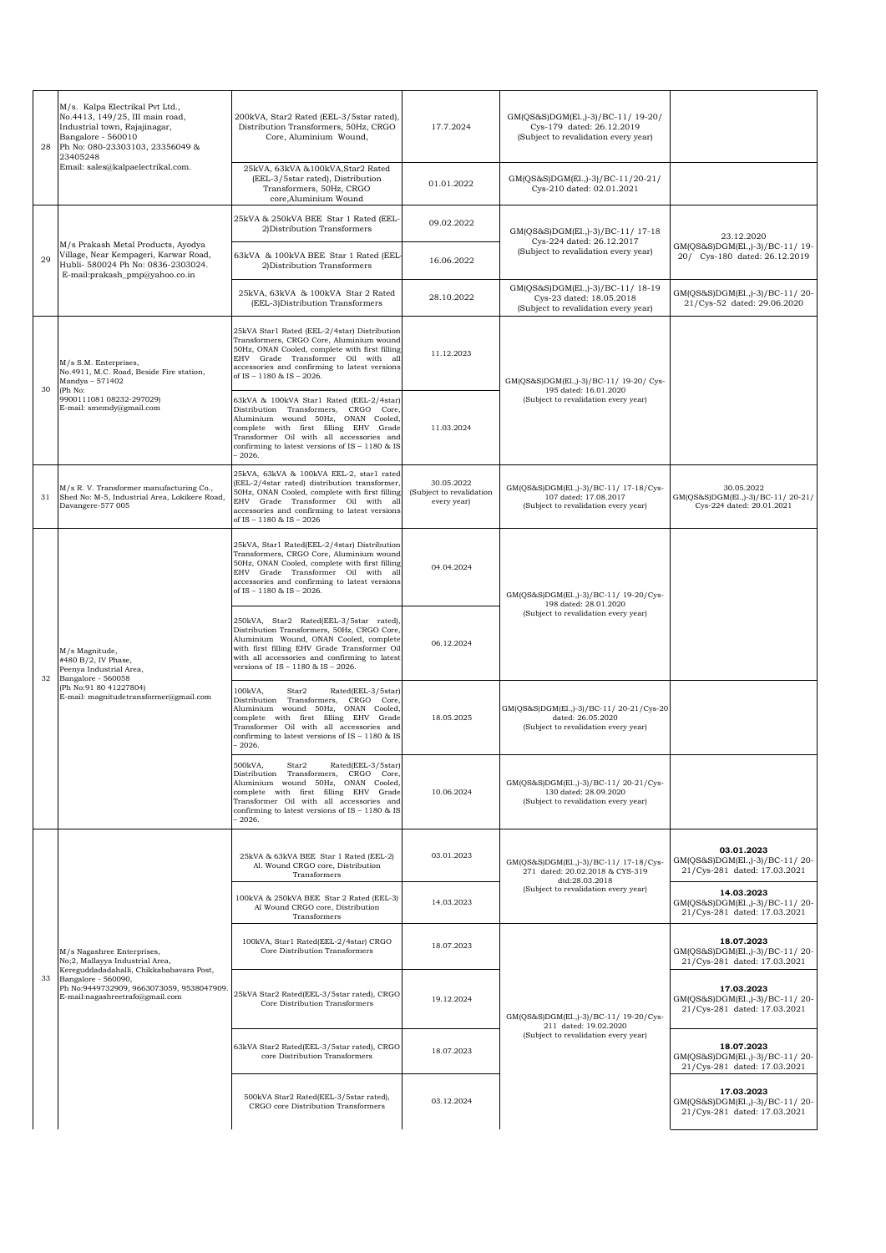| 28 | M/s. Kalpa Electrikal Pvt Ltd.,<br>No.4413, 149/25, III main road,<br>Industrial town, Rajajinagar,<br>Bangalore - 560010<br>Ph No: 080-23303103, 23356049 &<br>23405248 | 200kVA, Star2 Rated (EEL-3/5star rated),<br>Distribution Transformers, 50Hz, CRGO<br>Core, Aluminium Wound,                                                                                                                                                                 | 17.7.2024                                             | GM(QS&S)DGM(El.,)-3)/BC-11/ 19-20/<br>Cys-179 dated: 26.12.2019<br>(Subject to revalidation every year) |                                                                              |
|----|--------------------------------------------------------------------------------------------------------------------------------------------------------------------------|-----------------------------------------------------------------------------------------------------------------------------------------------------------------------------------------------------------------------------------------------------------------------------|-------------------------------------------------------|---------------------------------------------------------------------------------------------------------|------------------------------------------------------------------------------|
|    | Email: sales@kalpaelectrikal.com.                                                                                                                                        | 25kVA, 63kVA & 100kVA, Star2 Rated<br>(EEL-3/5star rated), Distribution<br>Transformers, 50Hz, CRGO<br>core, Aluminium Wound                                                                                                                                                | 01.01.2022                                            | GM(QS&S)DGM(El.,)-3)/BC-11/20-21/<br>Cys-210 dated: 02.01.2021                                          |                                                                              |
|    | M/s Prakash Metal Products, Ayodya<br>Village, Near Kempageri, Karwar Road,<br>Hubli- 580024 Ph No: 0836-2303024.<br>E-mail:prakash_pmp@yahoo.co.in                      | 25kVA & 250kVA BEE Star 1 Rated (EEL-<br>2) Distribution Transformers                                                                                                                                                                                                       | 09.02.2022                                            | GM(QS&S)DGM(El.,)-3)/BC-11/17-18                                                                        | 23.12.2020                                                                   |
| 29 |                                                                                                                                                                          | 63kVA & 100kVA BEE Star 1 Rated (EEL-<br>2) Distribution Transformers                                                                                                                                                                                                       | 16.06.2022                                            | Cys-224 dated: 26.12.2017<br>(Subject to revalidation every year)                                       | GM(QS&S)DGM(El.,)-3)/BC-11/19-<br>20/ Cys-180 dated: 26.12.2019              |
|    |                                                                                                                                                                          | 25kVA, 63kVA & 100kVA Star 2 Rated<br>(EEL-3)Distribution Transformers                                                                                                                                                                                                      | 28.10.2022                                            | GM(QS&S)DGM(El.,)-3)/BC-11/18-19<br>Cys-23 dated: 18.05.2018<br>(Subject to revalidation every year)    | GM(QS&S)DGM(El.,)-3)/BC-11/20-<br>21/Cys-52 dated: 29.06.2020                |
| 30 | M/s S.M. Enterprises,<br>No.4911, M.C. Road, Beside Fire station,<br>Mandya - 571402<br>(Ph No:                                                                          | 25kVA Star1 Rated (EEL-2/4star) Distribution<br>Transformers, CRGO Core, Aluminium wound<br>50Hz, ONAN Cooled, complete with first filling<br>EHV Grade Transformer Oil with all<br>accessories and confirming to latest versions<br>of IS - 1180 & IS - 2026.              | 11.12.2023                                            | GM(QS&S)DGM(El.,)-3)/BC-11/ 19-20/ Cys-<br>195 dated: 16.01.2020                                        |                                                                              |
|    | 9900111081 08232-297029)<br>E-mail: smemdy@gmail.com                                                                                                                     | 63kVA & 100kVA Star1 Rated (EEL-2/4star)<br>Distribution Transformers. CRGO Core.<br>Aluminium wound 50Hz, ONAN Cooled,<br>complete with first filling EHV Grade<br>Transformer Oil with all accessories and<br>confirming to latest versions of IS - 1180 & IS<br>$-2026.$ | 11.03.2024                                            | (Subject to revalidation every year)                                                                    |                                                                              |
| 31 | M/s R.V. Transformer manufacturing Co.,<br>Shed No: M-5, Industrial Area, Lokikere Road,<br>Davangere-577 005                                                            | 25kVA, 63kVA & 100kVA EEL-2, star1 rated<br>(EEL-2/4star rated) distribution transformer,<br>50Hz, ONAN Cooled, complete with first filling<br>EHV Grade Transformer Oil with all<br>accessories and confirming to latest versions<br>of IS - 1180 & IS - 2026              | 30.05.2022<br>(Subject to revalidation<br>every year) | GM(QS&S)DGM(El.,)-3)/BC-11/ 17-18/Cys-<br>107 dated: 17.08.2017<br>(Subject to revalidation every year) | 30.05.2022<br>GM(QS&S)DGM(E1., -3)/BC-11/20-21/<br>Cys-224 dated: 20.01.2021 |
|    |                                                                                                                                                                          | 25kVA, Star1 Rated(EEL-2/4star) Distribution<br>Transformers, CRGO Core, Aluminium wound<br>50Hz, ONAN Cooled, complete with first filling<br>EHV Grade Transformer Oil with all<br>accessories and confirming to latest versions<br>of IS - 1180 & IS - 2026.              | 04.04.2024                                            | GM(QS&S)DGM(El.,)-3)/BC-11/ 19-20/Cys-<br>198 dated: 28.01.2020                                         |                                                                              |
| 32 | M/s Magnitude,<br>#480 B/2, IV Phase,<br>Peenya Industrial Area,<br>Bangalore - 560058                                                                                   | 250kVA, Star2 Rated(EEL-3/5star rated),<br>Distribution Transformers, 50Hz, CRGO Core,<br>Aluminium Wound, ONAN Cooled, complete<br>with first filling EHV Grade Transformer Oil<br>with all accessories and confirming to latest<br>versions of IS - 1180 & IS - 2026.     | 06.12.2024                                            | (Subject to revalidation every year)                                                                    |                                                                              |
|    | (Ph No:91 80 41227804)<br>E-mail: magnitudetransformer@gmail.com                                                                                                         | 100kVA,<br>Star2<br>Rated(EEL-3/5star)<br>Distribution Transformers. CRGO Core.<br>Aluminium wound 50Hz, ONAN Cooled,<br>complete with first filling EHV Grade<br>Transformer Oil with all accessories and<br>confirming to latest versions of IS - 1180 & IS<br>$-2026.$   | 18.05.2025                                            | GM(QS&S)DGM(El.,)-3)/BC-11/20-21/Cys-20<br>dated: 26.05.2020<br>(Subject to revalidation every year)    |                                                                              |
|    |                                                                                                                                                                          | 500kVA,<br>Rated(EEL-3/5star)<br>Star2<br>Distribution Transformers, CRGO Core,<br>Aluminium wound 50Hz, ONAN Cooled,<br>complete with first filling EHV Grade<br>Transformer Oil with all accessories and<br>confirming to latest versions of IS - 1180 & IS<br>$-2026.$   | 10.06.2024                                            | GM(QS&S)DGM(El.,)-3)/BC-11/20-21/Cys-<br>130 dated: 28.09.2020<br>(Subject to revalidation every year)  |                                                                              |
|    |                                                                                                                                                                          | 25kVA & 63kVA BEE Star 1 Rated (EEL-2)<br>Al. Wound CRGO core, Distribution<br>Transformers                                                                                                                                                                                 | 03.01.2023                                            | GM(QS&S)DGM(El.,)-3)/BC-11/ 17-18/Cys-<br>271 dated: 20.02.2018 & CYS-319<br>dtd:28.03.2018             | 03.01.2023<br>GM(QS&S)DGM(El.,)-3)/BC-11/20-<br>21/Cys-281 dated: 17.03.2021 |
|    |                                                                                                                                                                          | 100kVA & 250kVA BEE Star 2 Rated (EEL-3)<br>Al Wound CRGO core, Distribution<br>Transformers                                                                                                                                                                                | 14.03.2023                                            | (Subject to revalidation every year)                                                                    | 14.03.2023<br>GM(QS&S)DGM(El.,)-3)/BC-11/20-<br>21/Cys-281 dated: 17.03.2021 |
|    | M/s Nagashree Enterprises,<br>No;2, Mallayya Industrial Area,                                                                                                            | 100kVA, Star1 Rated(EEL-2/4star) CRGO<br>Core Distribution Transformers                                                                                                                                                                                                     | 18.07.2023                                            |                                                                                                         | 18.07.2023<br>GM(QS&S)DGM(El.,)-3)/BC-11/20-<br>21/Cys-281 dated: 17.03.2021 |
| 33 | Kereguddadadahalli, Chikkababavara Post,<br>Bangalore - 560090,<br>Ph No:9449732909, 9663073059, 9538047909<br>E-mail:nagashreetrafo@gmail.com                           | 25kVA Star2 Rated(EEL-3/5star rated), CRGO<br>Core Distribution Transformers                                                                                                                                                                                                | 19.12.2024                                            | GM(QS&S)DGM(El.,)-3)/BC-11/ 19-20/Cys-<br>211 dated: 19.02.2020                                         | 17.03.2023<br>GM(QS&S)DGM(El.,)-3)/BC-11/20-<br>21/Cys-281 dated: 17.03.2021 |
|    |                                                                                                                                                                          | 63kVA Star2 Rated(EEL-3/5star rated), CRGO<br>core Distribution Transformers                                                                                                                                                                                                | 18.07.2023                                            | (Subject to revalidation every year)                                                                    | 18.07.2023<br>GM(QS&S)DGM(El.,)-3)/BC-11/20-<br>21/Cys-281 dated: 17.03.2021 |
|    |                                                                                                                                                                          | 500kVA Star2 Rated(EEL-3/5star rated),<br>CRGO core Distribution Transformers                                                                                                                                                                                               | 03.12.2024                                            |                                                                                                         | 17.03.2023<br>GM(QS&S)DGM(El.,)-3)/BC-11/20-<br>21/Cys-281 dated: 17.03.2021 |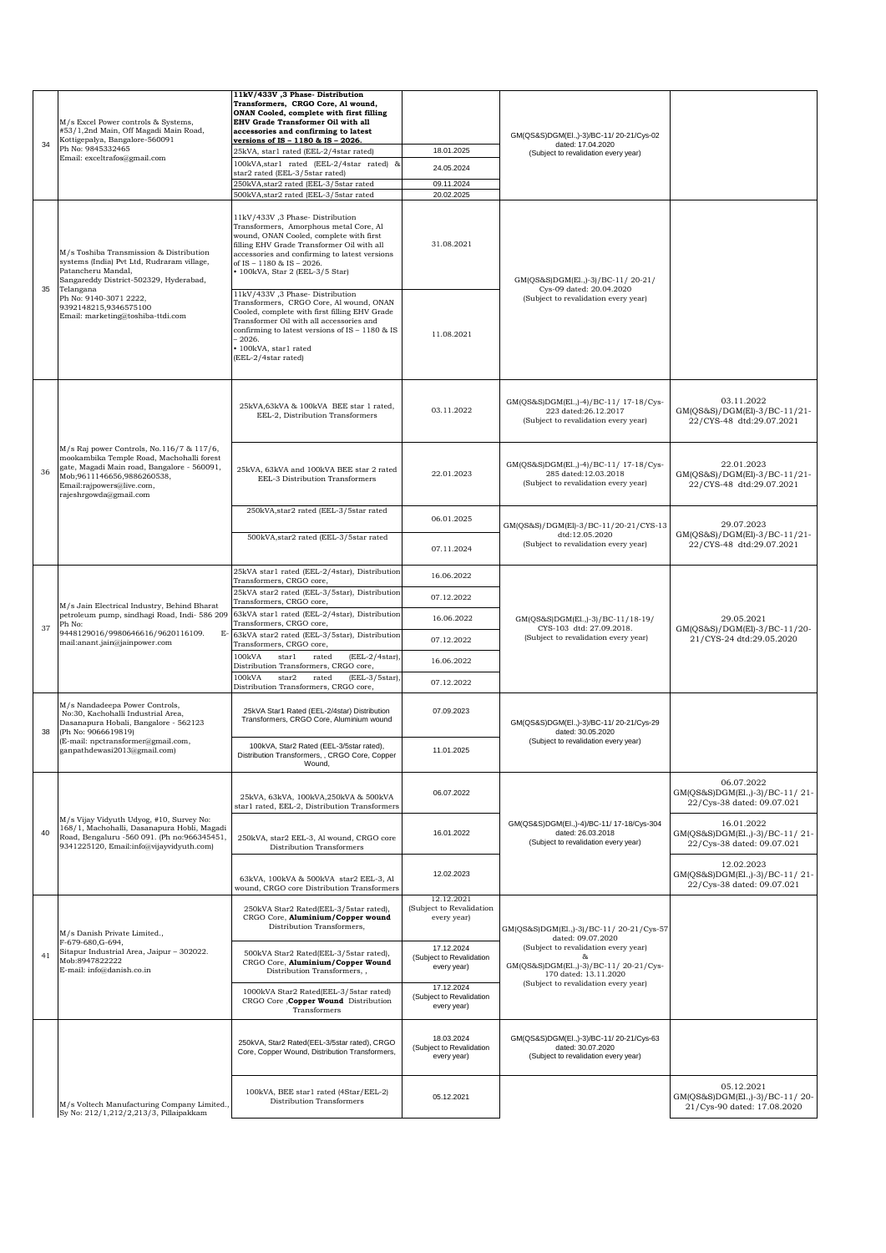|    | M/s Excel Power controls & Systems,<br>#53/1,2nd Main, Off Magadi Main Road,                                                                                                                                               | 11kV/433V ,3 Phase-Distribution<br>Transformers, CRGO Core, Al wound,<br>ONAN Cooled, complete with first filling<br><b>EHV Grade Transformer Oil with all</b><br>accessories and confirming to latest                                                                                 |                                                       |                                                                                                                                                                                                                                                                                                                                                                                                                                                                                                                                                                       |                                                                             |
|----|----------------------------------------------------------------------------------------------------------------------------------------------------------------------------------------------------------------------------|----------------------------------------------------------------------------------------------------------------------------------------------------------------------------------------------------------------------------------------------------------------------------------------|-------------------------------------------------------|-----------------------------------------------------------------------------------------------------------------------------------------------------------------------------------------------------------------------------------------------------------------------------------------------------------------------------------------------------------------------------------------------------------------------------------------------------------------------------------------------------------------------------------------------------------------------|-----------------------------------------------------------------------------|
| 34 | Kottigepalya, Bangalore-560091<br>Ph No: 9845332465                                                                                                                                                                        | versions of IS - 1180 & IS - 2026.                                                                                                                                                                                                                                                     | 18.01.2025                                            | GM(QS&S)DGM(El.,)-3)/BC-11/20-21/Cys-02<br>dated: 17.04.2020                                                                                                                                                                                                                                                                                                                                                                                                                                                                                                          |                                                                             |
|    | Email: exceltrafos@gmail.com                                                                                                                                                                                               | 25kVA, star1 rated (EEL-2/4star rated)<br>100kVA, star1 rated (EEL-2/4star rated) &                                                                                                                                                                                                    | 24.05.2024                                            | (Subject to revalidation every year)                                                                                                                                                                                                                                                                                                                                                                                                                                                                                                                                  |                                                                             |
|    |                                                                                                                                                                                                                            | star2 rated (EEL-3/5star rated)<br>250kVA, star2 rated (EEL-3/5star rated                                                                                                                                                                                                              | 09.11.2024                                            |                                                                                                                                                                                                                                                                                                                                                                                                                                                                                                                                                                       |                                                                             |
|    |                                                                                                                                                                                                                            | 500kVA, star2 rated (EEL-3/5star rated                                                                                                                                                                                                                                                 | 20.02.2025                                            |                                                                                                                                                                                                                                                                                                                                                                                                                                                                                                                                                                       |                                                                             |
|    | M/s Toshiba Transmission & Distribution<br>systems (India) Pvt Ltd, Rudraram village,<br>Patancheru Mandal,<br>Sangareddy District-502329, Hyderabad,                                                                      | 11kV/433V ,3 Phase-Distribution<br>Transformers, Amorphous metal Core, Al<br>wound, ONAN Cooled, complete with first<br>filling EHV Grade Transformer Oil with all<br>accessories and confirming to latest versions<br>of IS - 1180 & IS - 2026.<br>• 100kVA, Star 2 (EEL-3/5 Star)    | 31.08.2021                                            | GM(QS&S)DGM(El.,)-3)/BC-11/20-21/                                                                                                                                                                                                                                                                                                                                                                                                                                                                                                                                     |                                                                             |
| 35 | Telangana<br>Ph No: 9140-3071 2222,<br>9392148215,9346575100<br>Email: marketing@toshiba-ttdi.com                                                                                                                          | 11kV/433V, 3 Phase-Distribution<br>Transformers, CRGO Core, Al wound, ONAN<br>Cooled, complete with first filling EHV Grade<br>Transformer Oil with all accessories and<br>confirming to latest versions of IS - 1180 & IS<br>$-2026.$<br>• 100kVA, star1 rated<br>(EEL-2/4star rated) | 11.08.2021                                            | Cys-09 dated: 20.04.2020<br>(Subject to revalidation every year)                                                                                                                                                                                                                                                                                                                                                                                                                                                                                                      |                                                                             |
|    |                                                                                                                                                                                                                            | 25kVA,63kVA & 100kVA BEE star 1 rated,<br>EEL-2, Distribution Transformers                                                                                                                                                                                                             | 03.11.2022                                            | GM(QS&S)DGM(El.,)-4)/BC-11/ 17-18/Cys-<br>223 dated:26.12.2017<br>(Subject to revalidation every year)                                                                                                                                                                                                                                                                                                                                                                                                                                                                | 03.11.2022<br>GM(QS&S)/DGM(El)-3/BC-11/21-<br>22/CYS-48 dtd:29.07.2021      |
| 36 | M/s Raj power Controls, No.116/7 & 117/6,<br>mookambika Temple Road, Machohalli forest<br>gate, Magadi Main road, Bangalore - 560091,<br>Mob;9611146656,9886260538,<br>Email:rajpowers@live.com,<br>rajeshrgowda@gmail.com | 25kVA, 63kVA and 100kVA BEE star 2 rated<br>EEL-3 Distribution Transformers                                                                                                                                                                                                            | 22.01.2023                                            | GM(QS&S)DGM(El.,)-4)/BC-11/ 17-18/Cys-<br>285 dated:12.03.2018<br>(Subject to revalidation every year)                                                                                                                                                                                                                                                                                                                                                                                                                                                                | 22.01.2023<br>GM(QS&S)/DGM(El)-3/BC-11/21-<br>22/CYS-48 dtd:29.07.2021      |
|    |                                                                                                                                                                                                                            | 250kVA, star2 rated (EEL-3/5star rated                                                                                                                                                                                                                                                 | 06.01.2025                                            |                                                                                                                                                                                                                                                                                                                                                                                                                                                                                                                                                                       |                                                                             |
|    |                                                                                                                                                                                                                            | 500kVA, star2 rated (EEL-3/5star rated                                                                                                                                                                                                                                                 | 07.11.2024                                            | dtd:12.05.2020<br>(Subject to revalidation every year)                                                                                                                                                                                                                                                                                                                                                                                                                                                                                                                | GM(QS&S)/DGM(El)-3/BC-11/21-<br>22/CYS-48 dtd:29.07.2021                    |
|    | M/s Jain Electrical Industry, Behind Bharat<br>petroleum pump, sindhagi Road, Indi- 586 209<br>Ph No:<br>9448129016/9980646616/9620116109.<br>E<br>mail:anant.jain@jainpower.com                                           | 25kVA star1 rated (EEL-2/4star), Distribution<br>Transformers, CRGO core,                                                                                                                                                                                                              | 16.06.2022                                            |                                                                                                                                                                                                                                                                                                                                                                                                                                                                                                                                                                       |                                                                             |
|    |                                                                                                                                                                                                                            | 25kVA star2 rated (EEL-3/5star), Distribution<br>Transformers, CRGO core,                                                                                                                                                                                                              | 07.12.2022                                            |                                                                                                                                                                                                                                                                                                                                                                                                                                                                                                                                                                       |                                                                             |
|    |                                                                                                                                                                                                                            | 63kVA star1 rated (EEL-2/4star), Distribution                                                                                                                                                                                                                                          | 16.06.2022                                            |                                                                                                                                                                                                                                                                                                                                                                                                                                                                                                                                                                       |                                                                             |
| 37 |                                                                                                                                                                                                                            | Transformers, CRGO core,<br>63kVA star2 rated (EEL-3/5star), Distribution                                                                                                                                                                                                              | 07.12.2022                                            | CYS-103 dtd: 27.09.2018.<br>(Subject to revalidation every year)                                                                                                                                                                                                                                                                                                                                                                                                                                                                                                      | GM(QS&S)/DGM(El)-3/BC-11/20-                                                |
|    |                                                                                                                                                                                                                            | Transformers, CRGO core,<br>100kVA<br>$(EEL-2/4star)$ ,<br>starl<br>rated                                                                                                                                                                                                              | 16.06.2022                                            |                                                                                                                                                                                                                                                                                                                                                                                                                                                                                                                                                                       |                                                                             |
|    |                                                                                                                                                                                                                            | Distribution Transformers, CRGO core,<br>100kVA<br>star2<br>(EEL-3/5star),<br>rated                                                                                                                                                                                                    |                                                       |                                                                                                                                                                                                                                                                                                                                                                                                                                                                                                                                                                       |                                                                             |
|    |                                                                                                                                                                                                                            | Distribution Transformers, CRGO core,                                                                                                                                                                                                                                                  | 07.12.2022                                            |                                                                                                                                                                                                                                                                                                                                                                                                                                                                                                                                                                       |                                                                             |
| 38 | M/s Nandadeepa Power Controls,<br>No:30, Kachohalli Industrial Area,<br>Dasanapura Hobali, Bangalore - 562123<br>(Ph No: 9066619819)                                                                                       | 25kVA Star1 Rated (EEL-2/4star) Distribution<br>Transformers, CRGO Core, Aluminium wound                                                                                                                                                                                               | 07.09.2023                                            | GM(QS&S)DGM(El.,)-3)/BC-11/20-21/Cys-29<br>dated: 30.05.2020<br>(Subject to revalidation every year)                                                                                                                                                                                                                                                                                                                                                                                                                                                                  |                                                                             |
|    | (E-mail: npctransformer@gmail.com,<br>ganpathdewasi2013@gmail.com)                                                                                                                                                         | 100kVA, Star2 Rated (EEL-3/5star rated),<br>Distribution Transformers, , CRGO Core, Copper<br>Wound,                                                                                                                                                                                   | 11.01.2025                                            |                                                                                                                                                                                                                                                                                                                                                                                                                                                                                                                                                                       |                                                                             |
|    |                                                                                                                                                                                                                            | 25kVA, 63kVA, 100kVA, 250kVA & 500kVA<br>star1 rated, EEL-2, Distribution Transformers                                                                                                                                                                                                 | 06.07.2022                                            | 29.07.2023<br>GM(QS&S)/DGM(El)-3/BC-11/20-21/CYS-13<br>29.05.2021<br>GM(QS&S)DGM(El.,)-3)/BC-11/18-19/<br>21/CYS-24 dtd:29.05.2020<br>06.07.2022<br>22/Cys-38 dated: 09.07.021<br>16.01.2022<br>GM(QS&S)DGM(El.,)-4)/BC-11/ 17-18/Cys-304<br>dated: 26.03.2018<br>(Subject to revalidation every year)<br>12.02.2023<br>GM(QS&S)DGM(El.,)-3)/BC-11/20-21/Cys-57<br>dated: 09.07.2020<br>(Subject to revalidation every year)<br>$\mathcal{R}_{\mathcal{R}}$<br>GM(QS&S)DGM(El.,)-3)/BC-11/20-21/Cys-<br>170 dated: 13.11.2020<br>(Subject to revalidation every year) | GM(OS&S)DGM(El.,)-3)/BC-11/21-                                              |
| 40 | M/s Vijay Vidyuth Udyog, #10, Survey No:<br>168/1, Machohalli, Dasanapura Hobli, Magadi<br>Road, Bengaluru -560 091. (Ph no:966345451,<br>9341225120, Email:info@vijayvidyuth.com)                                         | 250kVA, star2 EEL-3, Al wound, CRGO core<br>Distribution Transformers                                                                                                                                                                                                                  | 16.01.2022                                            |                                                                                                                                                                                                                                                                                                                                                                                                                                                                                                                                                                       | GM(QS&S)DGM(El.,)-3)/BC-11/21-<br>22/Cys-38 dated: 09.07.021                |
|    |                                                                                                                                                                                                                            | 63kVA, 100kVA & 500kVA star2 EEL-3, Al<br>wound, CRGO core Distribution Transformers                                                                                                                                                                                                   | 12.02.2023                                            |                                                                                                                                                                                                                                                                                                                                                                                                                                                                                                                                                                       | GM(QS&S)DGM(El.,)-3)/BC-11/21-<br>22/Cys-38 dated: 09.07.021                |
|    | M/s Danish Private Limited.,                                                                                                                                                                                               | 250kVA Star2 Rated(EEL-3/5star rated),<br>CRGO Core, Aluminium/Copper wound<br>Distribution Transformers,                                                                                                                                                                              | 12.12.2021<br>(Subject to Revalidation<br>every year) |                                                                                                                                                                                                                                                                                                                                                                                                                                                                                                                                                                       |                                                                             |
| 41 | F-679-680, G-694,<br>Sitapur Industrial Area, Jaipur - 302022.<br>Mob:8947822222<br>E-mail: info@danish.co.in                                                                                                              | 500kVA Star2 Rated(EEL-3/5star rated),<br>CRGO Core, Aluminium/Copper Wound<br>Distribution Transformers,,                                                                                                                                                                             | 17.12.2024<br>(Subject to Revalidation<br>every year) |                                                                                                                                                                                                                                                                                                                                                                                                                                                                                                                                                                       |                                                                             |
|    |                                                                                                                                                                                                                            | 1000kVA Star2 Rated(EEL-3/5star rated)<br>CRGO Core , Copper Wound Distribution<br>Transformers                                                                                                                                                                                        | 17.12.2024<br>(Subject to Revalidation<br>every year) |                                                                                                                                                                                                                                                                                                                                                                                                                                                                                                                                                                       |                                                                             |
|    |                                                                                                                                                                                                                            | 250kVA, Star2 Rated(EEL-3/5star rated), CRGO<br>Core, Copper Wound, Distribution Transformers,                                                                                                                                                                                         | 18.03.2024<br>(Subject to Revalidation<br>every year) | GM(QS&S)DGM(El.,)-3)/BC-11/20-21/Cys-63<br>dated: 30.07.2020<br>(Subject to revalidation every year)                                                                                                                                                                                                                                                                                                                                                                                                                                                                  |                                                                             |
|    | M/s Voltech Manufacturing Company Limited.<br>Sy No: 212/1,212/2,213/3, Pillaipakkam                                                                                                                                       | 100kVA, BEE star1 rated (4Star/EEL-2)<br>Distribution Transformers                                                                                                                                                                                                                     | 05.12.2021                                            |                                                                                                                                                                                                                                                                                                                                                                                                                                                                                                                                                                       | 05.12.2021<br>GM(QS&S)DGM(El.,)-3)/BC-11/20-<br>21/Cys-90 dated: 17.08.2020 |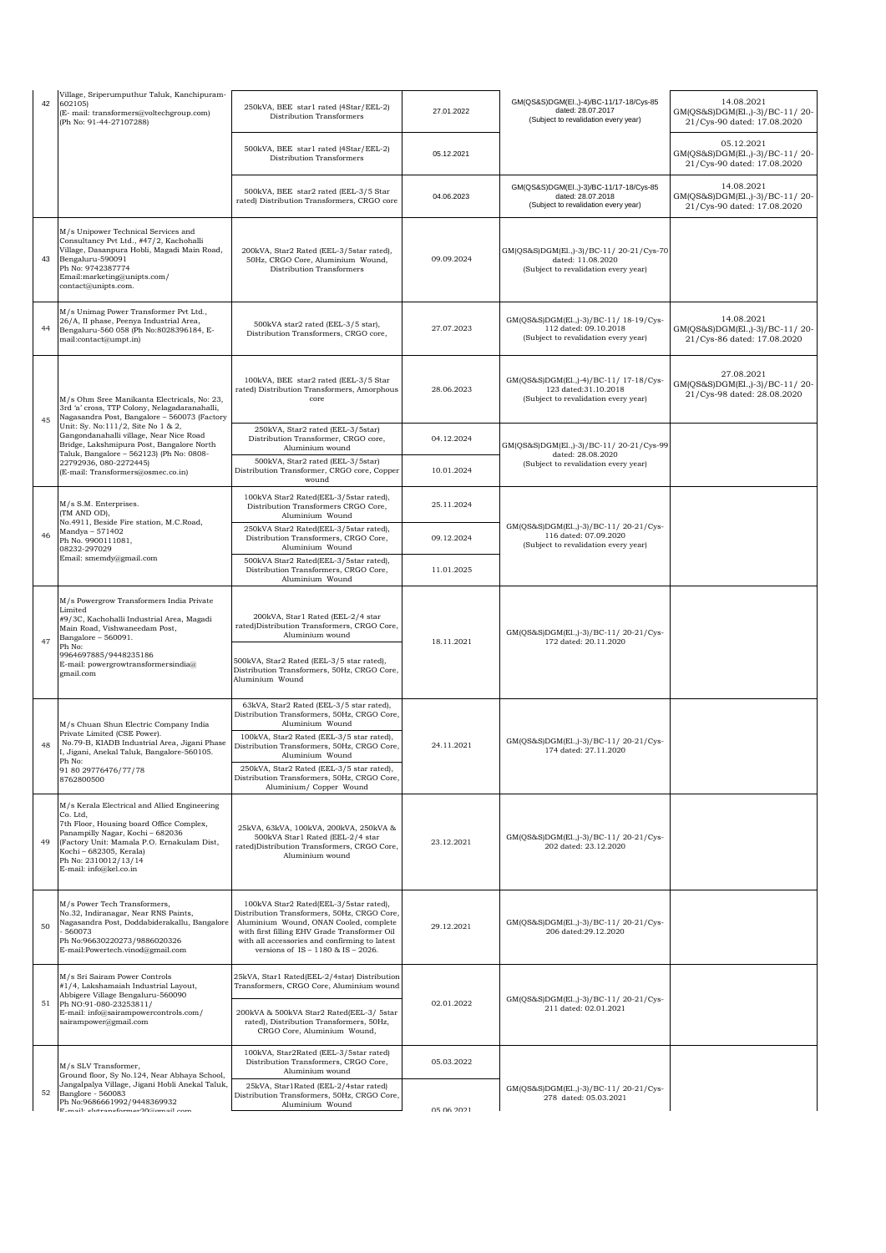| 42 | Village, Sriperumputhur Taluk, Kanchipuram-<br>602105)<br>(E- mail: transformers@voltechgroup.com)<br>(Ph No: 91-44-27107288)                                                                                                                                       | 250kVA, BEE star1 rated (4Star/EEL-2)<br>Distribution Transformers                                                                                                                                                                                                                                                                               | 27.01.2022 | GM(QS&S)DGM(El.,)-4)/BC-11/17-18/Cys-85<br>dated: 28.07.2017<br>(Subject to revalidation every year)                                                                | 14.08.2021<br>GM(QS&S)DGM(El.,)-3)/BC-11/20-<br>21/Cys-90 dated: 17.08.2020 |
|----|---------------------------------------------------------------------------------------------------------------------------------------------------------------------------------------------------------------------------------------------------------------------|--------------------------------------------------------------------------------------------------------------------------------------------------------------------------------------------------------------------------------------------------------------------------------------------------------------------------------------------------|------------|---------------------------------------------------------------------------------------------------------------------------------------------------------------------|-----------------------------------------------------------------------------|
|    |                                                                                                                                                                                                                                                                     | 500kVA, BEE star1 rated (4Star/EEL-2)<br>Distribution Transformers                                                                                                                                                                                                                                                                               | 05.12.2021 |                                                                                                                                                                     | 05.12.2021<br>GM(QS&S)DGM(El.,)-3)/BC-11/20-<br>21/Cys-90 dated: 17.08.2020 |
|    |                                                                                                                                                                                                                                                                     | 500kVA, BEE star2 rated (EEL-3/5 Star<br>rated) Distribution Transformers, CRGO core                                                                                                                                                                                                                                                             | 04.06.2023 | GM(QS&S)DGM(EI.,)-3)/BC-11/17-18/Cys-85<br>dated: 28.07.2018<br>(Subject to revalidation every year)                                                                | 14.08.2021<br>GM(QS&S)DGM(El.,)-3)/BC-11/20-<br>21/Cys-90 dated: 17.08.2020 |
| 43 | M/s Unipower Technical Services and<br>Consultancy Pvt Ltd., #47/2, Kachohalli<br>Village, Dasanpura Hobli, Magadi Main Road,<br>Bengaluru-590091<br>Ph No: 9742387774<br>Email:marketing@unipts.com/<br>contact@unipts.com.                                        | 200kVA, Star2 Rated (EEL-3/5star rated),<br>50Hz, CRGO Core, Aluminium Wound,<br>Distribution Transformers                                                                                                                                                                                                                                       | 09.09.2024 | GM(QS&S)DGM(El.,)-3)/BC-11/20-21/Cys-70<br>dated: 11.08.2020<br>(Subject to revalidation every year)                                                                |                                                                             |
| 44 | M/s Unimag Power Transformer Pvt Ltd.,<br>26/A, II phase, Peenya Industrial Area,<br>Bengaluru-560 058 (Ph No:8028396184, E-<br>mail:contact@umpt.in)                                                                                                               | 500kVA star2 rated (EEL-3/5 star),<br>Distribution Transformers, CRGO core,                                                                                                                                                                                                                                                                      | 27.07.2023 | GM(QS&S)DGM(El.,)-3)/BC-11/ 18-19/Cys-<br>112 dated: 09.10.2018<br>(Subject to revalidation every year)                                                             | 14.08.2021<br>GM(QS&S)DGM(El.,)-3)/BC-11/20-<br>21/Cys-86 dated: 17.08.2020 |
| 45 | M/s Ohm Sree Manikanta Electricals, No: 23,<br>3rd 'a' cross, TTP Colony, Nelagadaranahalli,<br>Nagasandra Post, Bangalore - 560073 (Factory                                                                                                                        | 100kVA, BEE star2 rated (EEL-3/5 Star<br>rated) Distribution Transformers, Amorphous<br>core                                                                                                                                                                                                                                                     | 28.06.2023 | GM(QS&S)DGM(El.,)-4)/BC-11/ 17-18/Cys-<br>123 dated:31.10.2018<br>(Subject to revalidation every year)                                                              | 27.08.2021<br>GM(QS&S)DGM(El.,)-3)/BC-11/20-<br>21/Cys-98 dated: 28.08.2020 |
|    | Unit: Sy. No:111/2, Site No 1 & 2,<br>Gangondanahalli village, Near Nice Road<br>Bridge, Lakshmipura Post, Bangalore North                                                                                                                                          | 250kVA, Star2 rated (EEL-3/5star)<br>Distribution Transformer, CRGO core,<br>Aluminium wound                                                                                                                                                                                                                                                     | 04.12.2024 | GM(QS&S)DGM(El.,)-3)/BC-11/20-21/Cys-99                                                                                                                             |                                                                             |
|    | Taluk, Bangalore - 562123) (Ph No: 0808-<br>22792936, 080-2272445)<br>(E-mail: Transformers@osmec.co.in)                                                                                                                                                            | 500kVA, Star2 rated (EEL-3/5star)<br>Distribution Transformer, CRGO core, Copper<br>wound                                                                                                                                                                                                                                                        | 10.01.2024 | dated: 28.08.2020<br>(Subject to revalidation every year)<br>GM(QS&S)DGM(El.,)-3)/BC-11/20-21/Cys-<br>116 dated: 07.09.2020<br>(Subject to revalidation every year) |                                                                             |
|    | M/s S.M. Enterprises.<br>(TM AND OD),                                                                                                                                                                                                                               | 100kVA Star2 Rated(EEL-3/5star rated),<br>Distribution Transformers CRGO Core,<br>Aluminium Wound                                                                                                                                                                                                                                                | 25.11.2024 |                                                                                                                                                                     |                                                                             |
| 46 | No.4911, Beside Fire station, M.C.Road,<br>Mandya - 571402<br>Ph No. 9900111081,<br>08232-297029                                                                                                                                                                    | 250kVA Star2 Rated(EEL-3/5star rated),<br>Distribution Transformers, CRGO Core,<br>Aluminium Wound                                                                                                                                                                                                                                               | 09.12.2024 |                                                                                                                                                                     |                                                                             |
|    | Email: smemdy@gmail.com                                                                                                                                                                                                                                             | 500kVA Star2 Rated(EEL-3/5star rated),<br>Distribution Transformers, CRGO Core,<br>Aluminium Wound                                                                                                                                                                                                                                               | 11.01.2025 |                                                                                                                                                                     |                                                                             |
| 47 | M/s Powergrow Transformers India Private<br>Limited<br>#9/3C, Kachohalli Industrial Area, Magadi<br>Main Road, Vishwaneedam Post,<br>Bangalore - 560091.<br>Ph No:<br>9964697885/9448235186<br>E-mail: powergrowtransformersindia@<br>gmail.com                     | 200kVA, Star1 Rated (EEL-2/4 star<br>rated)Distribution Transformers, CRGO Core,<br>Aluminium wound<br>500kVA, Star2 Rated (EEL-3/5 star rated),<br>Distribution Transformers, 50Hz, CRGO Core,<br>Aluminium Wound                                                                                                                               | 18.11.2021 | GM(QS&S)DGM(El.,)-3)/BC-11/20-21/Cys-<br>172 dated: 20.11.2020                                                                                                      |                                                                             |
| 48 | M/s Chuan Shun Electric Company India<br>Private Limited (CSE Power).<br>No.79-B, KIADB Industrial Area, Jigani Phase<br>I, Jigani, Anekal Taluk, Bangalore-560105.<br>Ph No:<br>91 80 29776476/77/78<br>8762800500                                                 | 63kVA, Star2 Rated (EEL-3/5 star rated),<br>Distribution Transformers, 50Hz, CRGO Core,<br>Aluminium Wound<br>100kVA, Star2 Rated (EEL-3/5 star rated),<br>Distribution Transformers, 50Hz, CRGO Core,<br>Aluminium Wound<br>250kVA, Star2 Rated (EEL-3/5 star rated),<br>Distribution Transformers, 50Hz, CRGO Core,<br>Aluminium/ Copper Wound | 24.11.2021 | GM(QS&S)DGM(El.,)-3)/BC-11/20-21/Cys-<br>174 dated: 27.11.2020                                                                                                      |                                                                             |
| 49 | M/s Kerala Electrical and Allied Engineering<br>Co. Ltd.<br>7th Floor, Housing board Office Complex,<br>Panampilly Nagar, Kochi - 682036<br>(Factory Unit: Mamala P.O. Ernakulam Dist,<br>Kochi - 682305, Kerala)<br>Ph No: 2310012/13/14<br>E-mail: info@kel.co.in | 25kVA, 63kVA, 100kVA, 200kVA, 250kVA &<br>500kVA Star1 Rated (EEL-2/4 star<br>rated)Distribution Transformers, CRGO Core,<br>Aluminium wound                                                                                                                                                                                                     | 23.12.2021 | GM(QS&S)DGM(El.,)-3)/BC-11/20-21/Cys-<br>202 dated: 23.12.2020                                                                                                      |                                                                             |
| 50 | M/s Power Tech Transformers,<br>No.32, Indiranagar, Near RNS Paints,<br>Nagasandra Post, Doddabiderakallu, Bangalore<br>560073<br>Ph No:96630220273/9886020326<br>E-mail:Powertech.vinod@gmail.com                                                                  | 100kVA Star2 Rated(EEL-3/5star rated),<br>Distribution Transformers, 50Hz, CRGO Core,<br>Aluminium Wound, ONAN Cooled, complete<br>with first filling EHV Grade Transformer Oil<br>with all accessories and confirming to latest<br>versions of IS - 1180 & IS - 2026.                                                                           | 29.12.2021 | GM(QS&S)DGM(El.,)-3)/BC-11/20-21/Cys-<br>206 dated:29.12.2020                                                                                                       |                                                                             |
|    | M/s Sri Sairam Power Controls<br>#1/4, Lakshamaiah Industrial Layout,<br>Abbigere Village Bengaluru-560090                                                                                                                                                          | 25kVA, Star1 Rated(EEL-2/4star) Distribution<br>Transformers, CRGO Core, Aluminium wound                                                                                                                                                                                                                                                         |            |                                                                                                                                                                     |                                                                             |
| 51 | Ph NO:91-080-23253811/<br>E-mail: info@sairampowercontrols.com/<br>sairampower@gmail.com                                                                                                                                                                            | 200kVA & 500kVA Star2 Rated(EEL-3/ 5star<br>rated), Distribution Transformers, 50Hz,<br>CRGO Core, Aluminium Wound,                                                                                                                                                                                                                              | 02.01.2022 | GM(QS&S)DGM(El.,)-3)/BC-11/20-21/Cys-<br>211 dated: 02.01.2021                                                                                                      |                                                                             |
|    | M/s SLV Transformer,<br>Ground floor, Sy No.124, Near Abhaya School,                                                                                                                                                                                                | 100kVA, Star2Rated (EEL-3/5star rated)<br>Distribution Transformers, CRGO Core,<br>Aluminium wound                                                                                                                                                                                                                                               | 05.03.2022 |                                                                                                                                                                     |                                                                             |
| 52 | Jangalpalya Village, Jigani Hobli Anekal Taluk,<br>Banglore - 560083<br>Ph No:9686661992/9448369932<br>E mail: eletranaformar00@email com                                                                                                                           | 25kVA, Star1Rated (EEL-2/4star rated)<br>Distribution Transformers, 50Hz, CRGO Core,<br>Aluminium Wound                                                                                                                                                                                                                                          | 05.06.2021 | GM(QS&S)DGM(El.,)-3)/BC-11/20-21/Cys-<br>278 dated: 05.03.2021                                                                                                      |                                                                             |